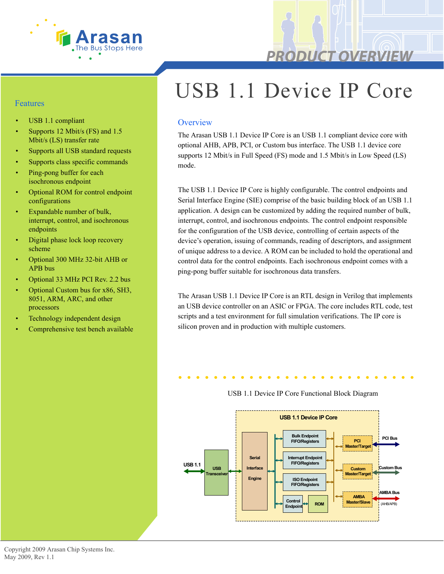

#### Features

- USB 1.1 compliant
- Supports 12 Mbit/s (FS) and 1.5 Mbit/s (LS) transfer rate
- Supports all USB standard requests
- Supports class specific commands
- Ping-pong buffer for each isochronous endpoint
- Optional ROM for control endpoint configurations
- Expandable number of bulk, interrupt, control, and isochronous endpoints
- Digital phase lock loop recovery scheme
- Optional 300 MHz 32-bit AHB or APB bus
- Optional 33 MHz PCI Rev. 2.2 bus
- Optional Custom bus for x86, SH3, 8051, ARM, ARC, and other processors
- Technology independent design
- Comprehensive test bench available

# USB 1.1 Device IP Core

#### **Overview**

The Arasan USB 1.1 Device IP Core is an USB 1.1 compliant device core with optional AHB, APB, PCI, or Custom bus interface. The USB 1.1 device core supports 12 Mbit/s in Full Speed (FS) mode and 1.5 Mbit/s in Low Speed (LS) mode.

The USB 1.1 Device IP Core is highly configurable. The control endpoints and Serial Interface Engine (SIE) comprise of the basic building block of an USB 1.1 application. A design can be customized by adding the required number of bulk, interrupt, control, and isochronous endpoints. The control endpoint responsible for the configuration of the USB device, controlling of certain aspects of the device's operation, issuing of commands, reading of descriptors, and assignment of unique address to a device. A ROM can be included to hold the operational and control data for the control endpoints. Each isochronous endpoint comes with a ping-pong buffer suitable for isochronous data transfers.

The Arasan USB 1.1 Device IP Core is an RTL design in Verilog that implements an USB device controller on an ASIC or FPGA. The core includes RTL code, test scripts and a test environment for full simulation verifications. The IP core is silicon proven and in production with multiple customers.

### USB 1.1 Device IP Core Functional Block Diagram